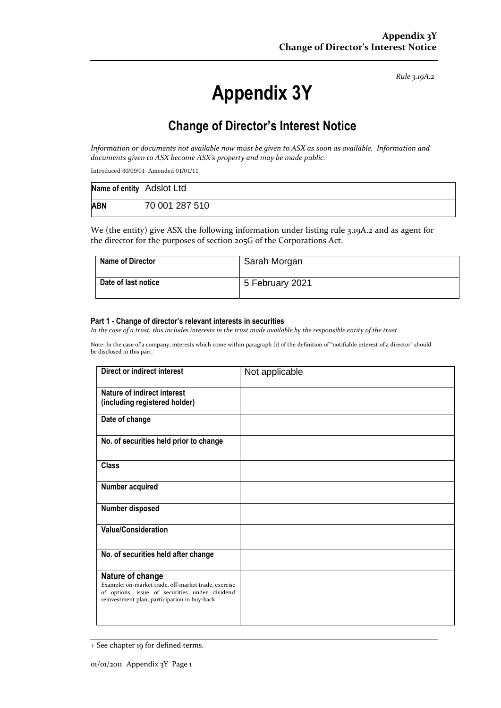*Rule 3.19A.2*

# **Appendix 3Y**

# **Change of Director's Interest Notice**

*Information or documents not available now must be given to ASX as soon as available. Information and documents given to ASX become ASX's property and may be made public.*

Introduced 30/09/01 Amended 01/01/11

| Name of entity Adslot Ltd |                |
|---------------------------|----------------|
| <b>ABN</b>                | 70 001 287 510 |

We (the entity) give ASX the following information under listing rule 3.19A.2 and as agent for the director for the purposes of section 205G of the Corporations Act.

| <b>Name of Director</b> | Sarah Morgan    |
|-------------------------|-----------------|
| Date of last notice     | 5 February 2021 |

#### **Part 1 - Change of director's relevant interests in securities**

*In the case of a trust, this includes interests in the trust made available by the responsible entity of the trust*

Note: In the case of a company, interests which come within paragraph (i) of the definition of "notifiable interest of a director" should be disclosed in this part.

| Direct or indirect interest                                                                                                                                                | Not applicable |
|----------------------------------------------------------------------------------------------------------------------------------------------------------------------------|----------------|
| Nature of indirect interest<br>(including registered holder)                                                                                                               |                |
| Date of change                                                                                                                                                             |                |
| No. of securities held prior to change                                                                                                                                     |                |
| <b>Class</b>                                                                                                                                                               |                |
| Number acquired                                                                                                                                                            |                |
| Number disposed                                                                                                                                                            |                |
| <b>Value/Consideration</b>                                                                                                                                                 |                |
| No. of securities held after change                                                                                                                                        |                |
| Nature of change<br>Example: on-market trade, off-market trade, exercise<br>of options, issue of securities under dividend<br>reinvestment plan, participation in buy-back |                |

<sup>+</sup> See chapter 19 for defined terms.